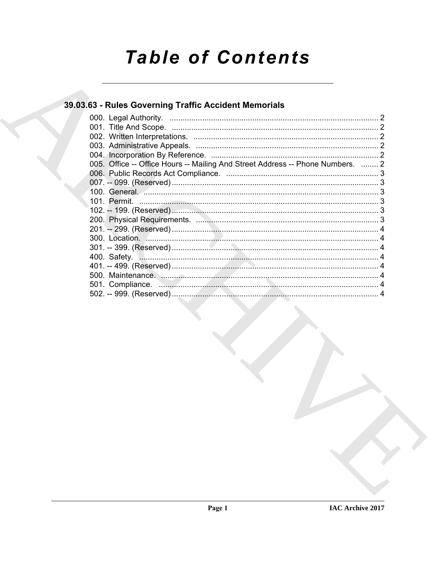# **Table of Contents**

# 39.03.63 - Rules Governing Traffic Accident Memorials

| 005. Office -- Office Hours -- Mailing And Street Address -- Phone Numbers.  2 |  |
|--------------------------------------------------------------------------------|--|
|                                                                                |  |
|                                                                                |  |
|                                                                                |  |
|                                                                                |  |
|                                                                                |  |
|                                                                                |  |
|                                                                                |  |
|                                                                                |  |
|                                                                                |  |
|                                                                                |  |
|                                                                                |  |
|                                                                                |  |
|                                                                                |  |
|                                                                                |  |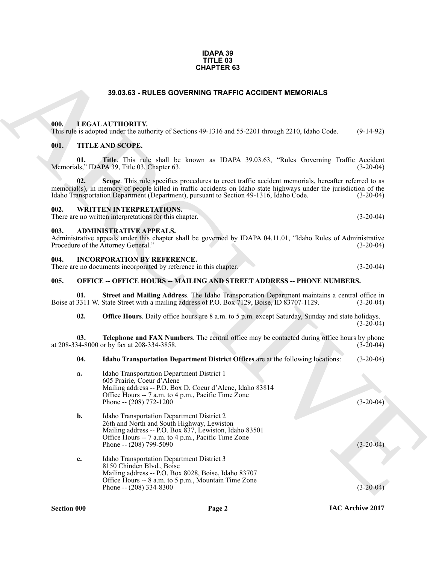#### **IDAPA 39 TITLE 03 CHAPTER 63**

# **39.03.63 - RULES GOVERNING TRAFFIC ACCIDENT MEMORIALS**

### <span id="page-1-1"></span><span id="page-1-0"></span>**000. LEGAL AUTHORITY.**

# <span id="page-1-2"></span>**001. TITLE AND SCOPE.**

# <span id="page-1-3"></span>**002. WRITTEN INTERPRETATIONS.**

### <span id="page-1-4"></span>**003. ADMINISTRATIVE APPEALS.**

| Administrative appeals under this chapter shall be governed by IDAPA 04.11.01, "Idaho Rules of Administrative |  |             |
|---------------------------------------------------------------------------------------------------------------|--|-------------|
| Procedure of the Attorney General."                                                                           |  | $(3-20-04)$ |

# <span id="page-1-5"></span>**004. INCORPORATION BY REFERENCE.**

# <span id="page-1-6"></span>**005. OFFICE -- OFFICE HOURS -- MAILING AND STREET ADDRESS -- PHONE NUMBERS.**

|      | <b>CHAPTER 63</b>                                                                                                                                                                                                                                                                                                   |             |
|------|---------------------------------------------------------------------------------------------------------------------------------------------------------------------------------------------------------------------------------------------------------------------------------------------------------------------|-------------|
|      | 39.03.63 - RULES GOVERNING TRAFFIC ACCIDENT MEMORIALS                                                                                                                                                                                                                                                               |             |
| 000. | LEGAL AUTHORITY.<br>This rule is adopted under the authority of Sections 49-1316 and 55-2201 through 2210, Idaho Code.                                                                                                                                                                                              | $(9-14-92)$ |
| 001. | <b>TITLE AND SCOPE.</b>                                                                                                                                                                                                                                                                                             |             |
| 01.  | Title. This rule shall be known as IDAPA 39.03.63, "Rules Governing Traffic Accident<br>Memorials," IDAPA 39, Title 03, Chapter 63.                                                                                                                                                                                 | $(3-20-04)$ |
| 02.  | Scope. This rule specifies procedures to erect traffic accident memorials, hereafter referred to as<br>memorial(s), in memory of people killed in traffic accidents on Idaho state highways under the jurisdiction of the<br>Idaho Transportation Department (Department), pursuant to Section 49-1316, Idaho Čode. | $(3-20-04)$ |
| 002. | <b>WRITTEN INTERPRETATIONS.</b><br>There are no written interpretations for this chapter.                                                                                                                                                                                                                           | $(3-20-04)$ |
| 003. | <b>ADMINISTRATIVE APPEALS.</b><br>Administrative appeals under this chapter shall be governed by IDAPA 04.11.01, "Idaho Rules of Administrative<br>Procedure of the Attorney General."                                                                                                                              | $(3-20-04)$ |
| 004. | <b>INCORPORATION BY REFERENCE.</b><br>There are no documents incorporated by reference in this chapter.                                                                                                                                                                                                             | $(3-20-04)$ |
| 005. | <b>OFFICE -- OFFICE HOURS -- MAILING AND STREET ADDRESS -- PHONE NUMBERS.</b>                                                                                                                                                                                                                                       |             |
| 01.  | Street and Mailing Address. The Idaho Transportation Department maintains a central office in<br>Boise at 3311 W. State Street with a mailing address of P.O. Box 7129, Boise, ID 83707-1129.                                                                                                                       | $(3-20-04)$ |
| 02.  | <b>Office Hours</b> . Daily office hours are 8 a.m. to 5 p.m. except Saturday, Sunday and state holidays.                                                                                                                                                                                                           | $(3-20-04)$ |
| 03.  | Telephone and FAX Numbers. The central office may be contacted during office hours by phone<br>at 208-334-8000 or by fax at 208-334-3858.                                                                                                                                                                           | $(3-20-04)$ |
| 04.  | Idaho Transportation Department District Offices are at the following locations:                                                                                                                                                                                                                                    | $(3-20-04)$ |
| a.   | Idaho Transportation Department District 1<br>605 Prairie, Coeur d'Alene<br>Mailing address -- P.O. Box D, Coeur d'Alene, Idaho 83814                                                                                                                                                                               |             |
|      | Office Hours -- 7 a.m. to 4 p.m., Pacific Time Zone<br>Phone -- $(208)$ 772-1200                                                                                                                                                                                                                                    | $(3-20-04)$ |
| b.   | Idaho Transportation Department District 2<br>26th and North and South Highway, Lewiston<br>Mailing address -- P.O. Box 837, Lewiston, Idaho 83501<br>Office Hours -- 7 a.m. to 4 p.m., Pacific Time Zone<br>Phone -- (208) 799-5090                                                                                | $(3-20-04)$ |
| c.   | Idaho Transportation Department District 3<br>8150 Chinden Blvd., Boise<br>Mailing address -- P.O. Box 8028, Boise, Idaho 83707<br>Office Hours -- 8 a.m. to 5 p.m., Mountain Time Zone<br>Phone -- $(208)$ 334-8300                                                                                                | $(3-20-04)$ |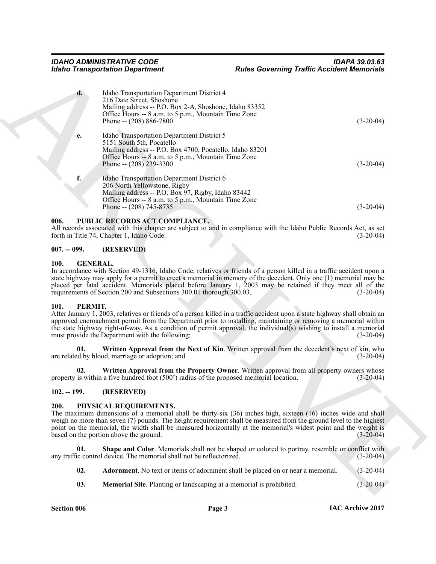|                                                   | <b>Idaho Transportation Department</b>                                                                                                                                                                                   | <b>Rules Governing Traffic Accident Memorials</b>                                                                                                                                                                                                                                                                                                                                 |
|---------------------------------------------------|--------------------------------------------------------------------------------------------------------------------------------------------------------------------------------------------------------------------------|-----------------------------------------------------------------------------------------------------------------------------------------------------------------------------------------------------------------------------------------------------------------------------------------------------------------------------------------------------------------------------------|
| d.                                                | Idaho Transportation Department District 4<br>216 Date Street, Shoshone<br>Mailing address -- P.O. Box 2-A, Shoshone, Idaho 83352<br>Office Hours -- 8 a.m. to 5 p.m., Mountain Time Zone<br>Phone -- (208) 886-7800     | $(3-20-04)$                                                                                                                                                                                                                                                                                                                                                                       |
| e.                                                | Idaho Transportation Department District 5<br>5151 South 5th, Pocatello<br>Mailing address -- P.O. Box 4700, Pocatello, Idaho 83201<br>Office Hours -- 8 a.m. to 5 p.m., Mountain Time Zone<br>Phone -- $(208)$ 239-3300 | $(3-20-04)$                                                                                                                                                                                                                                                                                                                                                                       |
| f.                                                | Idaho Transportation Department District 6<br>206 North Yellowstone, Rigby<br>Mailing address -- P.O. Box 97, Rigby, Idaho 83442<br>Office Hours -- 8 a.m. to 5 p.m., Mountain Time Zone<br>Phone -- (208) 745-8735      | $(3-20-04)$                                                                                                                                                                                                                                                                                                                                                                       |
| 006.                                              | PUBLIC RECORDS ACT COMPLIANCE.<br>forth in Title 74, Chapter 1, Idaho Code.                                                                                                                                              | All records associated with this chapter are subject to and in compliance with the Idaho Public Records Act, as set<br>$(3-20-04)$                                                                                                                                                                                                                                                |
| $007. - 099.$                                     | (RESERVED)                                                                                                                                                                                                               |                                                                                                                                                                                                                                                                                                                                                                                   |
| <b>100.</b><br><b>GENERAL.</b><br>PERMIT.<br>101. | requirements of Section 200 and Subsections 300.01 thorough 300.03.                                                                                                                                                      | In accordance with Section 49-1316, Idaho Code, relatives or friends of a person killed in a traffic accident upon a<br>state highway may apply for a permit to erect a memorial in memory of the decedent. Only one (1) memorial may be<br>placed per fatal accident. Memorials placed before January 1, 2003 may be retained if they meet all of the<br>$(3-20-04)$             |
|                                                   | must provide the Department with the following:                                                                                                                                                                          | After January 1, 2003, relatives or friends of a person killed in a traffic accident upon a state highway shall obtain an<br>approved encroachment permit from the Department prior to installing, maintaining or removing a memorial within<br>the state highway right-of-way. As a condition of permit approval, the individual(s) wishing to install a memorial<br>$(3-20-04)$ |
| 01.                                               | are related by blood, marriage or adoption; and                                                                                                                                                                          | Written Approval from the Next of Kin. Written approval from the decedent's next of kin, who<br>$(3-20-04)$                                                                                                                                                                                                                                                                       |
| 02.                                               | property is within a five hundred foot (500') radius of the proposed memorial location.                                                                                                                                  | Written Approval from the Property Owner. Written approval from all property owners whose<br>$(3-20-04)$                                                                                                                                                                                                                                                                          |
| $102. - 199.$                                     | (RESERVED)                                                                                                                                                                                                               |                                                                                                                                                                                                                                                                                                                                                                                   |
| 200.                                              | PHYSICAL REQUIREMENTS.<br>based on the portion above the ground.                                                                                                                                                         | The maximum dimensions of a memorial shall be thirty-six (36) inches high, sixteen (16) inches wide and shall<br>weigh no more than seven (7) pounds. The height requirement shall be measured from the ground level to the highest<br>point on the memorial, the width shall be measured horizontally at the memorial's widest point and the weight is<br>$(3-20-04)$            |
|                                                   |                                                                                                                                                                                                                          | Shape and Color. Memorials shall not be shaped or colored to portray, resemble or conflict with<br>$(3-20-04)$                                                                                                                                                                                                                                                                    |
| 01.                                               | any traffic control device. The memorial shall not be reflectorized.                                                                                                                                                     |                                                                                                                                                                                                                                                                                                                                                                                   |
| 02.                                               | Adornment. No text or items of adornment shall be placed on or near a memorial.                                                                                                                                          | $(3-20-04)$                                                                                                                                                                                                                                                                                                                                                                       |

# <span id="page-2-0"></span>**006. PUBLIC RECORDS ACT COMPLIANCE.**

### <span id="page-2-1"></span>**007. -- 099. (RESERVED)**

### <span id="page-2-2"></span>**100. GENERAL.**

# <span id="page-2-7"></span><span id="page-2-6"></span><span id="page-2-3"></span>**101. PERMIT.**

# <span id="page-2-8"></span><span id="page-2-4"></span>**102. -- 199. (RESERVED)**

#### <span id="page-2-9"></span><span id="page-2-5"></span>**200. PHYSICAL REQUIREMENTS.**

- <span id="page-2-12"></span><span id="page-2-10"></span>**02. Adornment**. No text or items of adornment shall be placed on or near a memorial. (3-20-04)
- <span id="page-2-11"></span>**03. Memorial Site**. Planting or landscaping at a memorial is prohibited.  $(3-20-04)$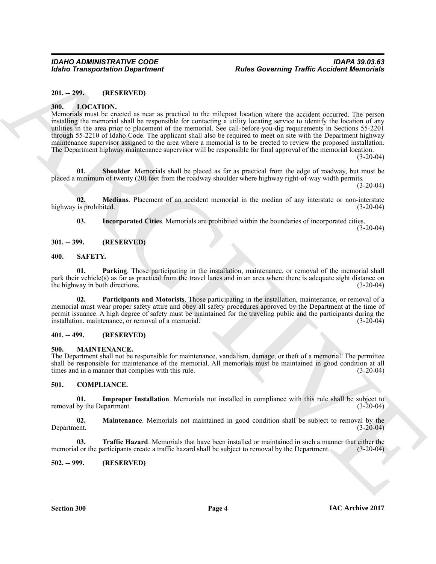# <span id="page-3-0"></span>**201. -- 299. (RESERVED)**

### <span id="page-3-12"></span><span id="page-3-1"></span>**300. LOCATION.**

For the Tartistics of the state of the state of the state of the state of the state of the state of the state of the state of the state of the state of the state of the state of the state of the state of the state of the Memorials must be erected as near as practical to the milepost location where the accident occurred. The person installing the memorial shall be responsible for contacting a utility locating service to identify the location of any utilities in the area prior to placement of the memorial. See call-before-you-dig requirements in Sections 55-2201 through 55-2210 of Idaho Code. The applicant shall also be required to meet on site with the Department highway maintenance supervisor assigned to the area where a memorial is to be erected to review the proposed installation. The Department highway maintenance supervisor will be responsible for final approval of the memorial location.

 $(3-20-04)$ 

<span id="page-3-15"></span>**01. Shoulder**. Memorials shall be placed as far as practical from the edge of roadway, but must be placed a minimum of twenty (20) feet from the roadway shoulder where highway right-of-way width permits.

 $(3-20-04)$ 

**02.** Medians. Placement of an accident memorial in the median of any interstate or non-interstate is prohibited. (3-20-04) highway is prohibited.

<span id="page-3-17"></span><span id="page-3-14"></span><span id="page-3-13"></span>**03. Incorporated Cities**. Memorials are prohibited within the boundaries of incorporated cities.

 $(3-20-04)$ 

# <span id="page-3-2"></span>**301. -- 399. (RESERVED)**

# <span id="page-3-3"></span>**400. SAFETY.**

**01. Parking**. Those participating in the installation, maintenance, or removal of the memorial shall park their vehicle(s) as far as practical from the travel lanes and in an area where there is adequate sight distance on the highway in both directions. (3-20-04) the highway in both directions.

<span id="page-3-18"></span>**02. Participants and Motorists**. Those participating in the installation, maintenance, or removal of a memorial must wear proper safety attire and obey all safety procedures approved by the Department at the time of permit issuance. A high degree of safety must be maintained for the traveling public and the participants during the installation, maintenance, or removal of a memorial. (3-20-04)

# <span id="page-3-4"></span>**401. -- 499. (RESERVED)**

# <span id="page-3-16"></span><span id="page-3-5"></span>**500. MAINTENANCE.**

The Department shall not be responsible for maintenance, vandalism, damage, or theft of a memorial. The permittee shall be responsible for maintenance of the memorial. All memorials must be maintained in good condition at all<br>times and in a manner that complies with this rule. (3-20-04) times and in a manner that complies with this rule.

# <span id="page-3-8"></span><span id="page-3-6"></span>**501. COMPLIANCE.**

<span id="page-3-9"></span>**01. Improper Installation**. Memorials not installed in compliance with this rule shall be subject to by the Department. (3-20-04) removal by the Department.

<span id="page-3-10"></span>**02.** Maintenance. Memorials not maintained in good condition shall be subject to removal by the Department. (3-20-04) Department. (3-20-04)

<span id="page-3-11"></span>**03. Traffic Hazard**. Memorials that have been installed or maintained in such a manner that either the memorial or the participants create a traffic hazard shall be subject to removal by the Department. (3-20-04)

# <span id="page-3-7"></span>**502. -- 999. (RESERVED)**